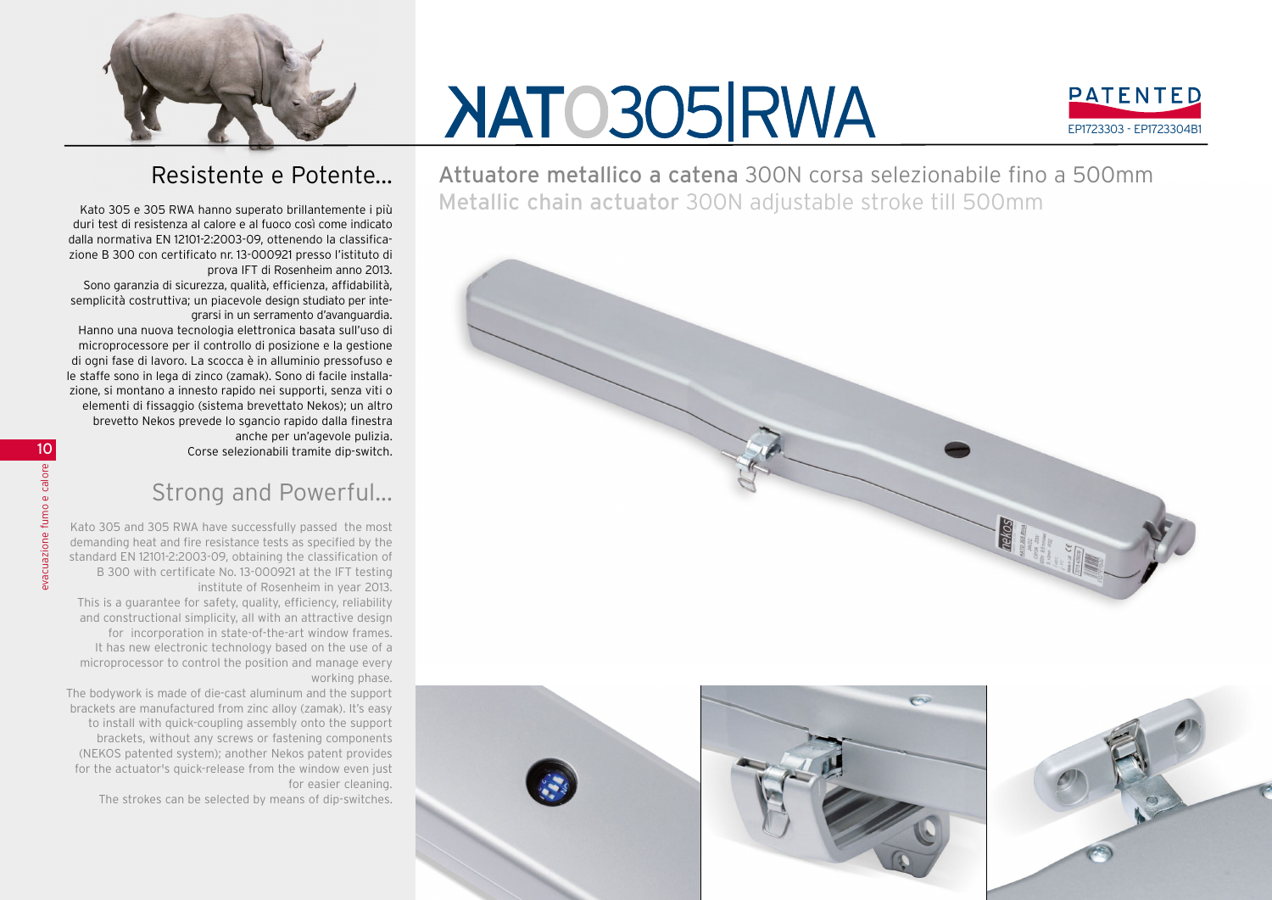

## **NATO305 RWA**



Resistente e Potente...

Kato 305 e 305 RWA hanno superato brillantemente i più duri test di resistenza al calore e al fuoco così come indicato dalla normativa EN 12101-2:2003-09, ottenendo la classificazione B 300 con certificato nr. 13-000921 presso l'istituto di prova IFT di Rosenheim anno 2013.

Sono garanzia di sicurezza, qualità, efficienza, affidabilità, semplicità costruttiva; un piacevole design studiato per integrarsi in un serramento d'avanguardia.

Hanno una nuova tecnologia elettronica basata sull'uso di microprocessore per il controllo di posizione e la gestione di ogni fase di lavoro. La scocca è in alluminio pressofuso e le staffe sono in lega di zinco (zamak). Sono di facile installazione, si montano a innesto rapido nei supporti, senza viti o elementi di fissaggio (sistema brevettato Nekos); un altro brevetto Nekos prevede lo sgancio rapido dalla finestra anche per un'agevole pulizia.

Corse selezionabili tramite dip-switch.

## Strong and Powerful...

Kato 305 and 305 RWA have successfully passed the most demanding heat and fire resistance tests as specified by the standard EN 12101-2:2003-09, obtaining the classification of B 300 with certificate No. 13-000921 at the IFT testing institute of Rosenheim in year 2013.

This is a guarantee for safety, quality, efficiency, reliability and constructional simplicity, all with an attractive design for incorporation in state-of-the-art window frames. It has new electronic technology based on the use of a microprocessor to control the position and manage every working phase.

The bodywork is made of die-cast aluminum and the support brackets are manufactured from zinc alloy (zamak). It's easy to install with quick-coupling assembly onto the support brackets, without any screws or fastening components (NEKOS patented system); another Nekos patent provides for the actuator's quick-release from the window even just for easier cleaning.

The strokes can be selected by means of dip-switches.

Attuatore metallico a catena 300N corsa selezionabile fino a 500mm Metallic chain actuator 300N adjustable stroke till 500mm